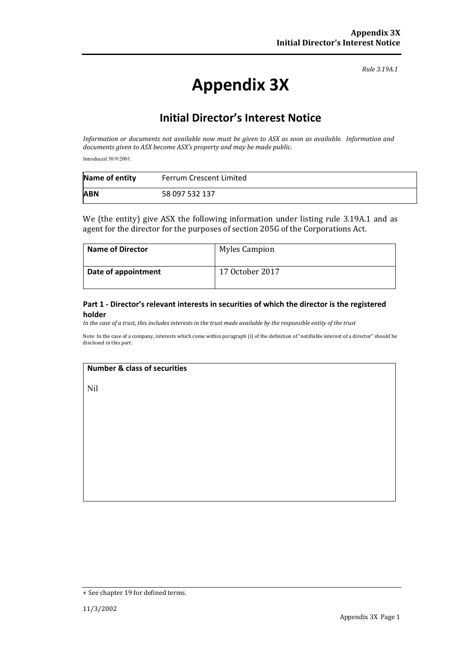*Rule 3.19A.1*

# **Appendix 3X**

## **Initial Director's Interest Notice**

Information or documents not available now must be given to ASX as soon as available. Information and *documents given to ASX become ASX's property and may be made public.*

Introduced 30/9/2001.

| Name of entity | Ferrum Crescent Limited |
|----------------|-------------------------|
| <b>ABN</b>     | 58 097 532 137          |

We (the entity) give ASX the following information under listing rule 3.19A.1 and as agent for the director for the purposes of section 205G of the Corporations Act.

| <b>Name of Director</b> | <b>Myles Campion</b> |
|-------------------------|----------------------|
| Date of appointment     | 17 October 2017      |

#### **Part 1 ‐ Director's relevant interests in securities of which the director is the registered holder**

In the case of a trust, this includes interests in the trust made available by the responsible entity of the trust

Note: In the case of a company, interests which come within paragraph (i) of the definition of "notifiable interest of a director" should be disclosed in this part.

#### **Number & class of securities**

Nil

<sup>+</sup> See chapter 19 for defined terms.